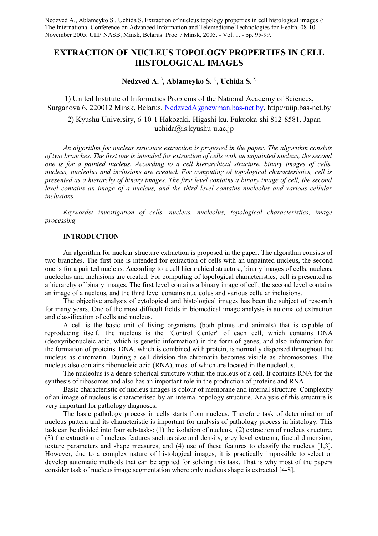# **EXTRACTION OF NUCLEUS TOPOLOGY PROPERTIES IN CELL HISTOLOGICAL IMAGES**

# **Nedzved A.1), Ablameyko S. 1), Uchida S. 2)**

1) United Institute of Informatics Problems of the National Academy of Sciences, Surganova 6, 220012 Minsk, Belarus, [NedzvedA@newman.bas-net.by,](mailto:NedzvedA@newman.bas-net.by) http://uiip.bas-net.by

2) Kyushu University, 6-10-1 Hakozaki, Higashi-ku, Fukuoka-shi 812-8581, Japan  $uchida(a)$ is.kyushu-u.ac.jp

*An algorithm for nuclear structure extraction is proposed in the paper. The algorithm consists of two branches. The first one is intended for extraction of cells with an unpainted nucleus, the second one is for a painted nucleus. According to a cell hierarchical structure, binary images of cells, nucleus, nucleolus and inclusions are created. For computing of topological characteristics, cell is presented as a hierarchy of binary images. The first level contains a binary image of cell, the second level contains an image of a nucleus, and the third level contains nucleolus and various cellular inclusions.*

*Keywords: investigation of cells, nucleus, nucleolus, topological characteristics, image processing*

## **INTRODUCTION**

An algorithm for nuclear structure extraction is proposed in the paper. The algorithm consists of two branches. The first one is intended for extraction of cells with an unpainted nucleus, the second one is for a painted nucleus. According to a cell hierarchical structure, binary images of cells, nucleus, nucleolus and inclusions are created. For computing of topological characteristics, cell is presented as a hierarchy of binary images. The first level contains a binary image of cell, the second level contains an image of a nucleus, and the third level contains nucleolus and various cellular inclusions.

The objective analysis of cytological and histological images has been the subject of research for many years. One of the most difficult fields in biomedical image analysis is automated extraction and classification of cells and nucleus.

A cell is the basic unit of living organisms (both plants and animals) that is capable of reproducing itself. The nucleus is the "Control Center" of each cell, which contains DNA (deoxyribonucleic acid, which is genetic information) in the form of genes, and also information for the formation of proteins. DNA, which is combined with protein, is normally dispersed throughout the nucleus as chromatin. During a cell division the chromatin becomes visible as chromosomes. The nucleus also contains ribonucleic acid (RNA), most of which are located in the nucleolus.

The nucleolus is a dense spherical structure within the nucleus of a cell. It contains RNA for the synthesis of ribosomes and also has an important role in the production of proteins and RNA.

Basic characteristic of nucleus images is colour of membrane and internal structure. Complexity of an image of nucleus is characterised by an internal topology structure. Analysis of this structure is very important for pathology diagnoses.

The basic pathology process in cells starts from nucleus. Therefore task of determination of nucleus pattern and its characteristic is important for analysis of pathology process in histology. This task can be divided into four sub-tasks: (1) the isolation of nucleus, (2) extraction of nucleus structure, (3) the extraction of nucleus features such as size and density, grey level extrema, fractal dimension, texture parameters and shape measures, and (4) use of these features to classify the nucleus [1,3]. However, due to a complex nature of histological images, it is practically impossible to select or develop automatic methods that can be applied for solving this task. That is why most of the papers consider task of nucleus image segmentation where only nucleus shape is extracted [4-8].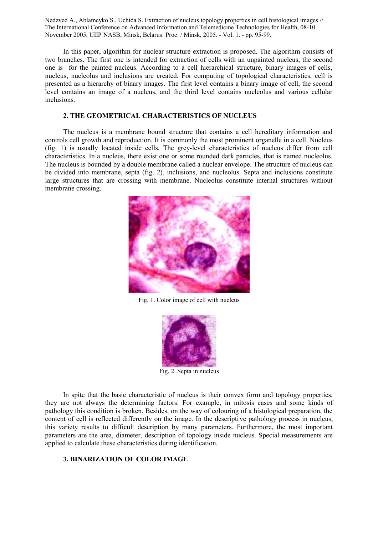In this paper, algorithm for nuclear structure extraction is proposed. The algorithm consists of two branches. The first one is intended for extraction of cells with an unpainted nucleus, the second one is for the painted nucleus. According to a cell hierarchical structure, binary images of cells, nucleus, nucleolus and inclusions are created. For computing of topological characteristics, cell is presented as a hierarchy of binary images. The first level contains a binary image of cell, the second level contains an image of a nucleus, and the third level contains nucleolus and various cellular inclusions.

## **2. THE GEOMETRICAL CHARACTERISTICS OF NUCLEUS**

The nucleus is a membrane bound structure that contains a cell hereditary information and controls cell growth and reproduction. It is commonly the most prominent organelle in a cell. Nucleus (fig. 1) is usually located inside cells. The grey-level characteristics of nucleus differ from cell characteristics. In a nucleus, there exist one or some rounded dark particles, that is named nucleolus. The nucleus is bounded by a double membrane called a nuclear envelope. The structure of nucleus can be divided into membrane, septa (fig. 2), inclusions, and nucleolus. Septa and inclusions constitute large structures that are crossing with membrane. Nucleolus constitute internal structures without membrane crossing.



Fig. 1. Color image of cell with nucleus



Fig. 2. Septa in nucleus

In spite that the basic characteristic of nucleus is their convex form and topology properties, they are not always the determining factors. For example, in mitosis cases and some kinds of pathology this condition is broken. Besides, on the way of colouring of a histological preparation, the content of cell is reflected differently on the image. In the descriptive pathology process in nucleus, this variety results to difficult description by many parameters. Furthermore, the most important parameters are the area, diameter, description of topology inside nucleus. Special measurements are applied to calculate these characteristics during identification.

## **3. BINARIZATION OF COLOR IMAGE**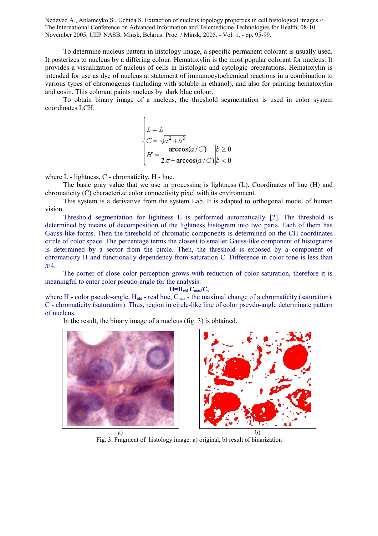To determine nucleus pattern in histology image, a specific permanent colorant is usually used. It posterizes to nucleus by a differing colour. Hematoxylin is the most popular colorant for nucleus. It provides a visualization of nucleus of cells in histologic and cytologic preparations. Hematoxylin is intended for use as dye of nucleus at statement of immunocytochemical reactions in a combination to various types of chromogenes (including with soluble in ethanol), and also for painting hematoxylin and eosin. This colorant paints nucleus by dark blue colour.

To obtain binary image of a nucleus, the threshold segmentation is used in color system coordinates LCH.

$$
\begin{cases}\nL = L \\
C = \sqrt{a^2 + b^2} \\
H = \operatorname{arccos}(a/C) & b \ge 0 \\
L = 2\pi - \operatorname{arccos}(a/C) & b < 0\n\end{cases}
$$

where L - lightness, C - chromaticity, H - hue.

The basic gray value that we use in processing is lightness (L). Coordinates of hue (H) and chromaticity (C) characterize color connectivity pixel with its environment.

This system is a derivative from the system Lab. It is adapted to orthogonal model of human vision.

Threshold segmentation for lightness L is performed automatically [2]. The threshold is determined by means of decomposition of the lightness histogram into two parts. Each of them has Gauss-like forms. Then the threshold of chromatic components is determined on the CH coordinates circle of color space. The percentage terms the closest to smaller Gauss-like component of histograms is determined by a sector from the circle. Then, the threshold is exposed by a component of chromaticity H and functionally dependency from saturation C. Difference in color tone is less than  $\pi/4$ .

The corner of close color perception grows with reduction of color saturation, therefore it is meaningful to enter color pseudo-angle for the analysis:

**H=Hold Cmax/C,**

where H - color pseudo-angle,  $H_{old}$  - real hue,  $C_{max}$  - the maximal change of a chromaticity (saturation), C - chromaticity (saturation). Thus, region in circle-like line of color psevdo-angle determinate pattern of nucleus.

In the result, the binary image of a nucleus (fig. 3) is obtained.





a) b) Fig. 3. Fragment of histology image: a) original, b) result of binarization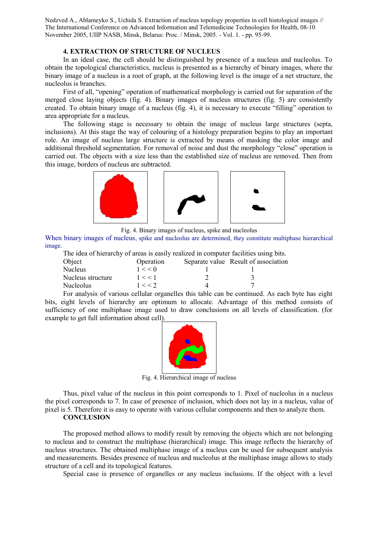### **4. EXTRACTION OF STRUCTURE OF NUCLEUS**

In an ideal case, the cell should be distinguished by presence of a nucleus and nucleolus. To obtain the topological characteristics, nucleus is presented as a hierarchy of binary images, where the binary image of a nucleus is a root of graph, at the following level is the image of a net structure, the nucleolus is branches.

First of all, "opening" operation of mathematical morphology is carried out for separation of the merged close laying objects (fig. 4). Binary images of nucleus structures (fig. 5) are consistently created. To obtain binary image of a nucleus (fig. 4), it is necessary to execute "filling" operation to area appropriate for a nucleus.

The following stage is necessary to obtain the image of nucleus large structures (septa, inclusions). At this stage the way of colouring of a histology preparation begins to play an important role. An image of nucleus large structure is extracted by means of masking the color image and additional threshold segmentation. For removal of noise and dust the morphology "close" operation is carried out. The objects with a size less than the established size of nucleus are removed. Then from this image, borders of nucleus are subtracted.



Fig. 4. Binary images of nucleus, spike and nucleolus

When binary images of nucleus, spike and nucleolus are determined, they constitute multiphase hierarchical image.

The idea of hierarchy of areas is easily realized in computer facilities using bits.

| Object            | Operation | Separate value Result of association |
|-------------------|-----------|--------------------------------------|
| Nucleus           | 1 < 0     |                                      |
| Nucleus structure | 1 < 1     |                                      |
| Nucleolus         | 1 < 2     |                                      |

For analysis of various cellular organelles this table can be continued. As each byte has eight bits, eight levels of hierarchy are optimum to allocate. Advantage of this method consists of sufficiency of one multiphase image used to draw conclusions on all levels of classification. (for example to get full information about cell).



Fig. 4. Hierarchical image of nucleus

Thus, pixel value of the nucleus in this point corresponds to 1. Pixel of nucleolus in a nucleus the pixel corresponds to 7. In case of presence of inclusion, which does not lay in a nucleus, value of pixel is 5. Therefore it is easy to operate with various cellular components and then to analyze them.

### **CONCLUSION**

The proposed method allows to modify result by removing the objects which are not belonging to nucleus and to construct the multiphase (hierarchical) image. This image reflects the hierarchy of nucleus structures. The obtained multiphase image of a nucleus can be used for subsequent analysis and measurements. Besides presence of nucleus and nucleolus at the multiphase image allows to study structure of a cell and its topological features.

Special case is presence of organelles or any nucleus inclusions. If the object with a level